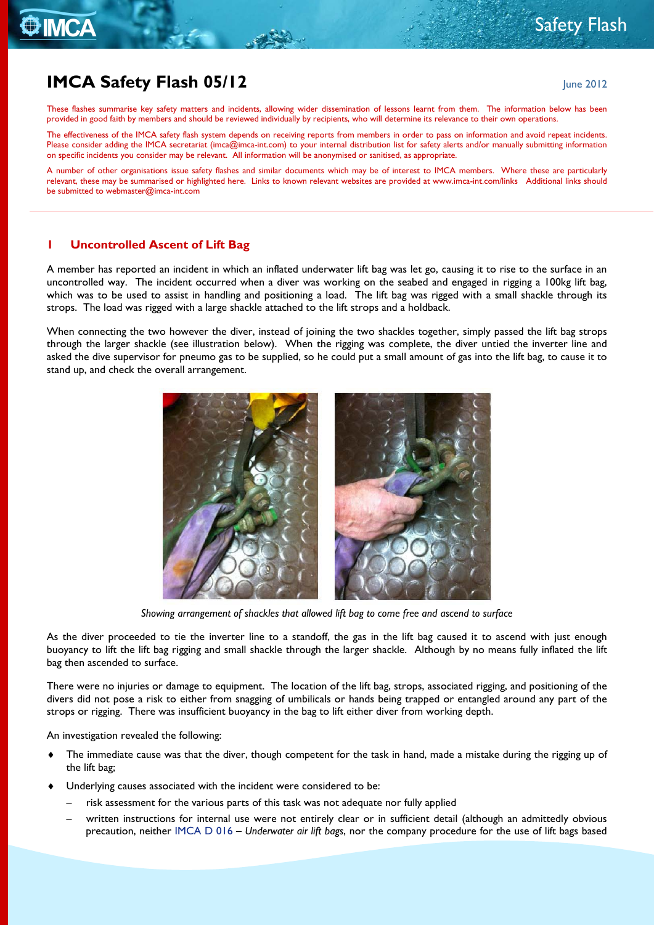# **IMCA Safety Flash 05/12** June 2012

**O** IMCA

These flashes summarise key safety matters and incidents, allowing wider dissemination of lessons learnt from them. The information below has been provided in good faith by members and should be reviewed individually by recipients, who will determine its relevance to their own operations.

The effectiveness of the IMCA safety flash system depends on receiving reports from members in order to pass on information and avoid repeat incidents. Please consider adding the IMCA secretariat [\(imca@imca-int.com\)](mailto:imca@imca-int.com) to your internal distribution list for safety alerts and/or manually submitting information on specific incidents you consider may be relevant. All information will be anonymised or sanitised, as appropriate.

A number of other organisations issue safety flashes and similar documents which may be of interest to IMCA members. Where these are particularly relevant, these may be summarised or highlighted here. Links to known relevant websites are provided at [www.imca-int.com/links](http://www.imca-int.com/links) Additional links should be submitted t[o webmaster@imca-int.com](mailto:webmaster@imca-int.com)

#### **1 Uncontrolled Ascent of Lift Bag**

A member has reported an incident in which an inflated underwater lift bag was let go, causing it to rise to the surface in an uncontrolled way. The incident occurred when a diver was working on the seabed and engaged in rigging a 100kg lift bag, which was to be used to assist in handling and positioning a load. The lift bag was rigged with a small shackle through its strops. The load was rigged with a large shackle attached to the lift strops and a holdback.

When connecting the two however the diver, instead of joining the two shackles together, simply passed the lift bag strops through the larger shackle (see illustration below). When the rigging was complete, the diver untied the inverter line and asked the dive supervisor for pneumo gas to be supplied, so he could put a small amount of gas into the lift bag, to cause it to stand up, and check the overall arrangement.



*Showing arrangement of shackles that allowed lift bag to come free and ascend to surface*

As the diver proceeded to tie the inverter line to a standoff, the gas in the lift bag caused it to ascend with just enough buoyancy to lift the lift bag rigging and small shackle through the larger shackle. Although by no means fully inflated the lift bag then ascended to surface.

There were no injuries or damage to equipment. The location of the lift bag, strops, associated rigging, and positioning of the divers did not pose a risk to either from snagging of umbilicals or hands being trapped or entangled around any part of the strops or rigging. There was insufficient buoyancy in the bag to lift either diver from working depth.

An investigation revealed the following:

- The immediate cause was that the diver, though competent for the task in hand, made a mistake during the rigging up of the lift bag;
- Underlying causes associated with the incident were considered to be:
	- risk assessment for the various parts of this task was not adequate nor fully applied
	- written instructions for internal use were not entirely clear or in sufficient detail (although an admittedly obvious precaution, neither [IMCA D](http://www.imca-int.com/documents/divisions/diving/docs/IMCAD016.pdf) 016 – *Underwater air lift bags*, nor the company procedure for the use of lift bags based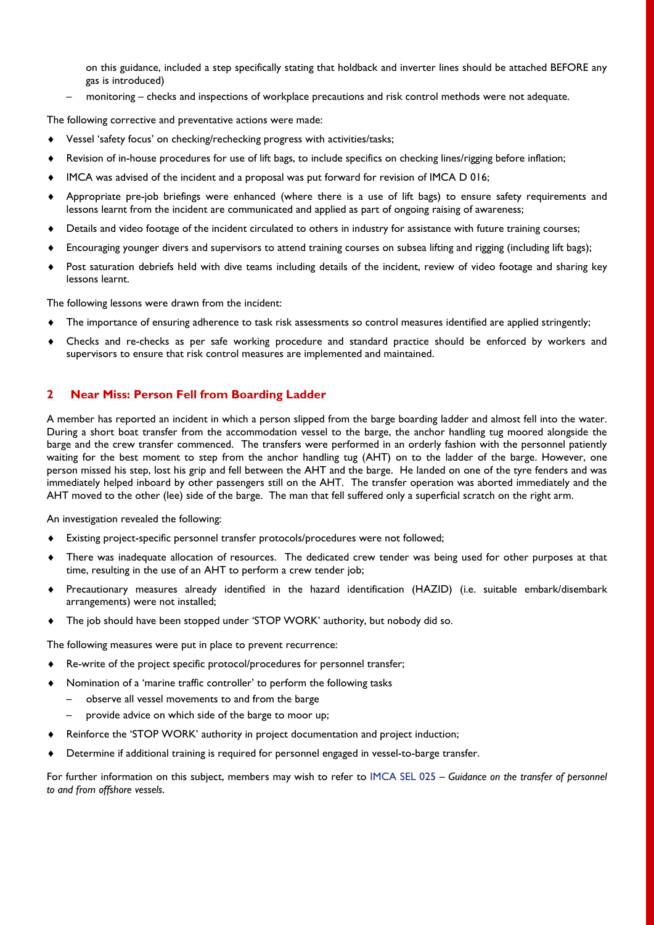on this guidance, included a step specifically stating that holdback and inverter lines should be attached BEFORE any gas is introduced)

– monitoring – checks and inspections of workplace precautions and risk control methods were not adequate.

The following corrective and preventative actions were made:

- Vessel 'safety focus' on checking/rechecking progress with activities/tasks;
- ♦ Revision of in-house procedures for use of lift bags, to include specifics on checking lines/rigging before inflation;
- ♦ IMCA was advised of the incident and a proposal was put forward for revision of IMCA D 016;
- ♦ Appropriate pre-job briefings were enhanced (where there is a use of lift bags) to ensure safety requirements and lessons learnt from the incident are communicated and applied as part of ongoing raising of awareness;
- ♦ Details and video footage of the incident circulated to others in industry for assistance with future training courses;
- ♦ Encouraging younger divers and supervisors to attend training courses on subsea lifting and rigging (including lift bags);
- ♦ Post saturation debriefs held with dive teams including details of the incident, review of video footage and sharing key lessons learnt.

The following lessons were drawn from the incident:

- ♦ The importance of ensuring adherence to task risk assessments so control measures identified are applied stringently;
- ♦ Checks and re-checks as per safe working procedure and standard practice should be enforced by workers and supervisors to ensure that risk control measures are implemented and maintained.

#### **2 Near Miss: Person Fell from Boarding Ladder**

A member has reported an incident in which a person slipped from the barge boarding ladder and almost fell into the water. During a short boat transfer from the accommodation vessel to the barge, the anchor handling tug moored alongside the barge and the crew transfer commenced. The transfers were performed in an orderly fashion with the personnel patiently waiting for the best moment to step from the anchor handling tug (AHT) on to the ladder of the barge. However, one person missed his step, lost his grip and fell between the AHT and the barge. He landed on one of the tyre fenders and was immediately helped inboard by other passengers still on the AHT. The transfer operation was aborted immediately and the AHT moved to the other (lee) side of the barge. The man that fell suffered only a superficial scratch on the right arm.

An investigation revealed the following:

- ♦ Existing project-specific personnel transfer protocols/procedures were not followed;
- There was inadequate allocation of resources. The dedicated crew tender was being used for other purposes at that time, resulting in the use of an AHT to perform a crew tender job;
- ♦ Precautionary measures already identified in the hazard identification (HAZID) (i.e. suitable embark/disembark arrangements) were not installed;
- ♦ The job should have been stopped under 'STOP WORK' authority, but nobody did so.

The following measures were put in place to prevent recurrence:

- Re-write of the project specific protocol/procedures for personnel transfer;
- Nomination of a 'marine traffic controller' to perform the following tasks
	- observe all vessel movements to and from the barge
	- provide advice on which side of the barge to moor up;
- ♦ Reinforce the 'STOP WORK' authority in project documentation and project induction;
- Determine if additional training is required for personnel engaged in vessel-to-barge transfer.

For further information on this subject, members may wish to refer to [IMCA SEL 025](http://www.imca-int.com/documents/core/sel/docs/IMCASEL025.pdf) – *Guidance on the transfer of personnel to and from offshore vessels*.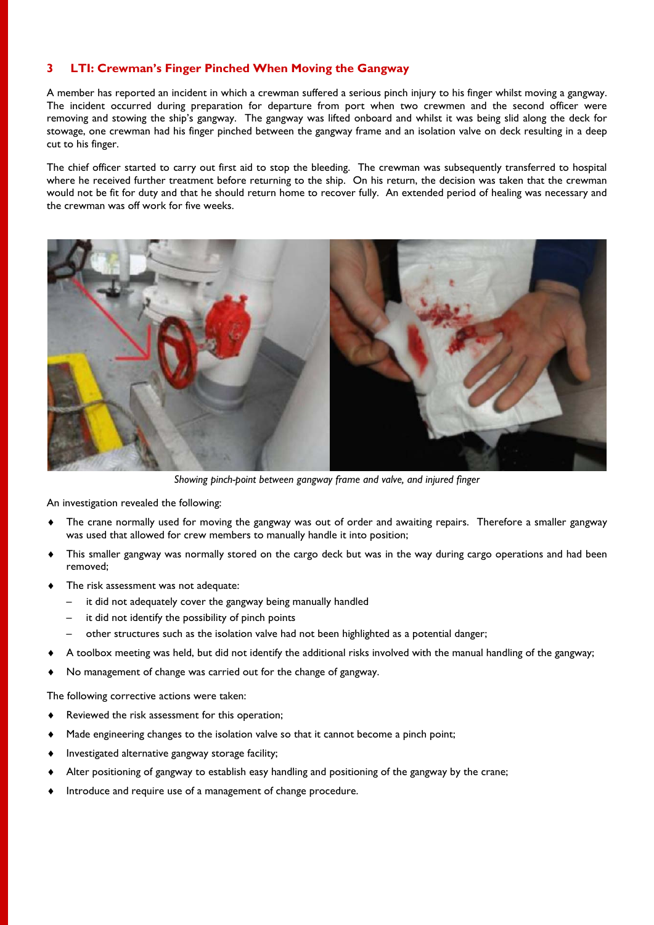## **3 LTI: Crewman's Finger Pinched When Moving the Gangway**

A member has reported an incident in which a crewman suffered a serious pinch injury to his finger whilst moving a gangway. The incident occurred during preparation for departure from port when two crewmen and the second officer were removing and stowing the ship's gangway. The gangway was lifted onboard and whilst it was being slid along the deck for stowage, one crewman had his finger pinched between the gangway frame and an isolation valve on deck resulting in a deep cut to his finger.

The chief officer started to carry out first aid to stop the bleeding. The crewman was subsequently transferred to hospital where he received further treatment before returning to the ship. On his return, the decision was taken that the crewman would not be fit for duty and that he should return home to recover fully. An extended period of healing was necessary and the crewman was off work for five weeks.



*Showing pinch-point between gangway frame and valve, and injured finger*

An investigation revealed the following:

- ♦ The crane normally used for moving the gangway was out of order and awaiting repairs. Therefore a smaller gangway was used that allowed for crew members to manually handle it into position;
- This smaller gangway was normally stored on the cargo deck but was in the way during cargo operations and had been removed;
- ♦ The risk assessment was not adequate:
	- it did not adequately cover the gangway being manually handled
	- it did not identify the possibility of pinch points
	- other structures such as the isolation valve had not been highlighted as a potential danger;
- ♦ A toolbox meeting was held, but did not identify the additional risks involved with the manual handling of the gangway;
- ♦ No management of change was carried out for the change of gangway.

The following corrective actions were taken:

- ♦ Reviewed the risk assessment for this operation;
- ♦ Made engineering changes to the isolation valve so that it cannot become a pinch point;
- ♦ Investigated alternative gangway storage facility;
- ♦ Alter positioning of gangway to establish easy handling and positioning of the gangway by the crane;
- Introduce and require use of a management of change procedure.